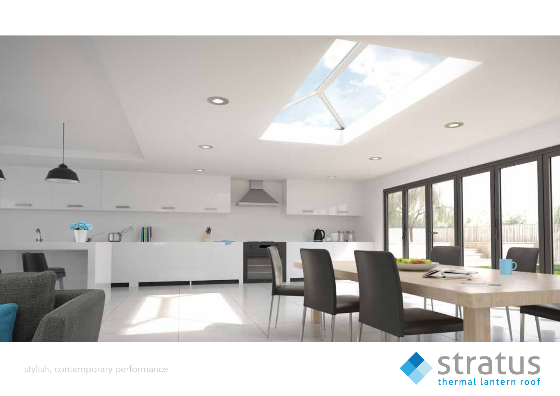

stylish, contemporary performance

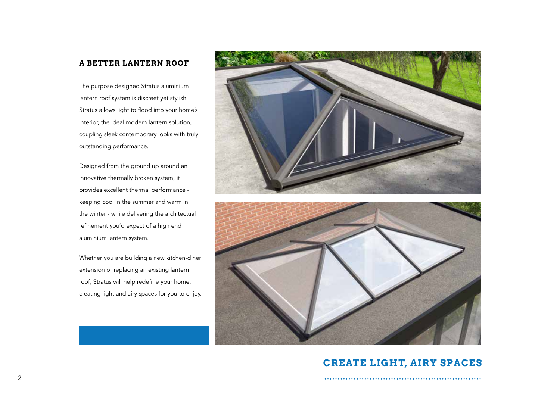#### **A BETTER LANTERN ROOF**

The purpose designed Stratus aluminium lantern roof system is discreet yet stylish. Stratus allows light to flood into your home's interior, the ideal modern lantern solution, coupling sleek contemporary looks with truly outstanding performance.

Designed from the ground up around an innovative thermally broken system, it provides excellent thermal performance keeping cool in the summer and warm in the winter - while delivering the architectual refinement you'd expect of a high end aluminium lantern system.

Whether you are building a new kitchen-diner extension or replacing an existing lantern roof, Stratus will help redefine your home, creating light and airy spaces for you to enjoy.





### **CREATE LIGHT, AIRY SPACES**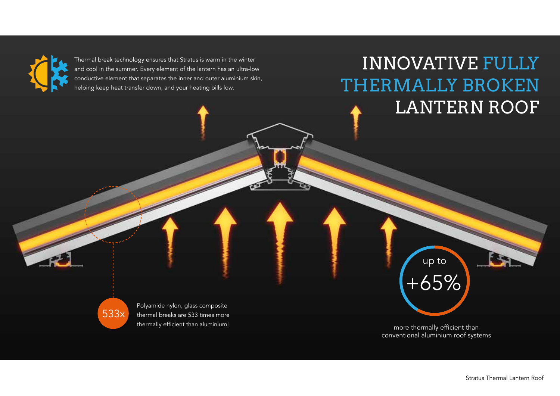

Thermal break technology ensures that Stratus is warm in the winter and cool in the summer. Every element of the lantern has an ultra-low conductive element that separates the inner and outer aluminium skin, helping keep heat transfer down, and your heating bills low.

## INNOVATIVE FULLY THERMALLY BROKEN LANTERN ROOF

up to +65%

533x

Polyamide nylon, glass composite thermal breaks are 533 times more thermally efficient than aluminium!

more thermally efficient than conventional aluminium roof systems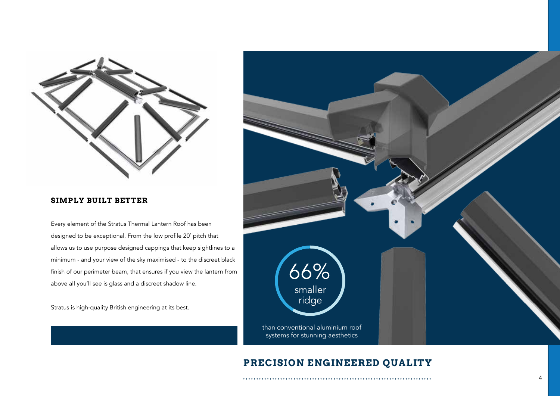

#### **SIMPLY BUILT BETTER**

Every element of the Stratus Thermal Lantern Roof has been designed to be exceptional. From the low profile 20˚ pitch that allows us to use purpose designed cappings that keep sightlines to a minimum - and your view of the sky maximised - to the discreet black finish of our perimeter beam, that ensures if you view the lantern from above all you'll see is glass and a discreet shadow line.

Stratus is high-quality British engineering at its best.



### **PRECISION ENGINEERED QUALITY**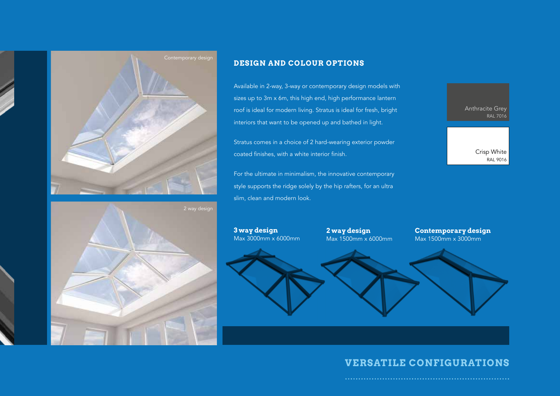

#### **DESIGN AND COLOUR OPTIONS**

Available in 2-way, 3-way or contemporary design models with sizes up to 3m x 6m, this high end, high performance lantern roof is ideal for modern living. Stratus is ideal for fresh, bright interiors that want to be opened up and bathed in light.

Stratus comes in a choice of 2 hard-wearing exterior powder coated finishes, with a white interior finish.

For the ultimate in minimalism, the innovative contemporary style supports the ridge solely by the hip rafters, for an ultra slim, clean and modern look.

**3 way design**



 Crisp White RAL 9016



**2 way design** Max 1500mm x 6000mm Max 3000mm x 6000mm

**Contemporary design** Max 1500mm x 3000mm

#### **VERSATILE CONFIGURATIONS**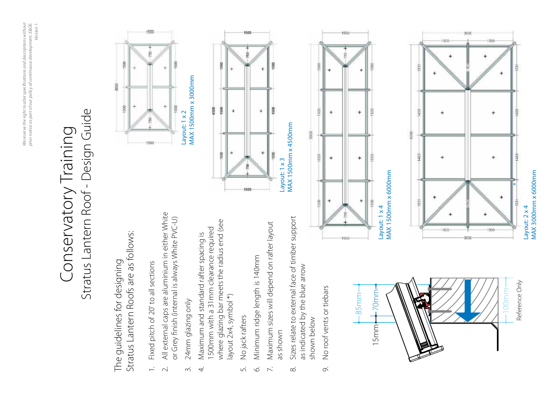# Stratus Lantern Roof - Design Guide Stratus Lantern Roof - Design Guide Conservatory Training Conservatory Training

Stratus Lantern Roofs are as follows: Stratus Lantern Roofs are as follows: The guidelines for designing The guidelines for designing

- Fixed pitch of 20° to all sections 1. Fixed pitch of 20º to all sections  $\overline{\phantom{0}}$
- All external caps are aluminium in either White 2. All external caps are aluminium in either White or Grey finish (internal is always White PVC-U) or Grey finish (internal is always White PVC-U)  $\sim$
- 24mm glazing only 3. 24mm glazing only  $\dot{\sim}$
- where glazing bar meets the radius end (see where glazing bar meets the radius end (see 1500mm with a 31mm clearance required 1500mm with a 31mm clearance required 4. Maximum and standard rafter spacing is Maximum and standard rafter spacing is layout 2x4, symbol \*) layout 2x4, symbol \*)  $\overline{4}$ 
	- No jack rafters 5. No jack rafters Lo.
- Minimum ridge length is 140mm 6. Minimum ridge length is 140mm  $\circ$
- Maximum sizes will depend on rafter layout 7. Maximum sizes will depend on rafter layout as shown  $\overline{\phantom{a}}$
- 8. Sizes relate to external face of timber support Sizes relate to external face of timber support as indicated by the blue arrow as indicated by the blue arrow shown below shown below  $\infty$
- No roof vents or tiebars 9. No roof vents or tiebars  $\circ$









Layout: 1 x 4<br>MAX 1500mm x 6000mm MAX 1500mm x 6000mm Layout: 1 x 4



Layout: 2 x 4<br>MAX 3000mm x 6000mm MAX 3000mm x 6000mm Layout: 2 x 4